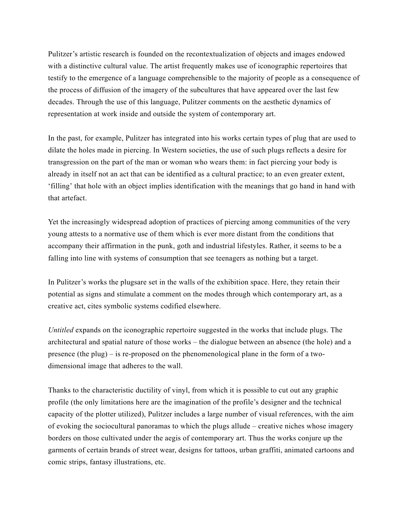Pulitzer's artistic research is founded on the recontextualization of objects and images endowed with a distinctive cultural value. The artist frequently makes use of iconographic repertoires that testify to the emergence of a language comprehensible to the majority of people as a consequence of the process of diffusion of the imagery of the subcultures that have appeared over the last few decades. Through the use of this language, Pulitzer comments on the aesthetic dynamics of representation at work inside and outside the system of contemporary art.

In the past, for example, Pulitzer has integrated into his works certain types of plug that are used to dilate the holes made in piercing. In Western societies, the use of such plugs reflects a desire for transgression on the part of the man or woman who wears them: in fact piercing your body is already in itself not an act that can be identified as a cultural practice; to an even greater extent, 'filling' that hole with an object implies identification with the meanings that go hand in hand with that artefact.

Yet the increasingly widespread adoption of practices of piercing among communities of the very young attests to a normative use of them which is ever more distant from the conditions that accompany their affirmation in the punk, goth and industrial lifestyles. Rather, it seems to be a falling into line with systems of consumption that see teenagers as nothing but a target.

In Pulitzer's works the plugsare set in the walls of the exhibition space. Here, they retain their potential as signs and stimulate a comment on the modes through which contemporary art, as a creative act, cites symbolic systems codified elsewhere.

*Untitled* expands on the iconographic repertoire suggested in the works that include plugs. The architectural and spatial nature of those works – the dialogue between an absence (the hole) and a presence (the plug) – is re-proposed on the phenomenological plane in the form of a twodimensional image that adheres to the wall.

Thanks to the characteristic ductility of vinyl, from which it is possible to cut out any graphic profile (the only limitations here are the imagination of the profile's designer and the technical capacity of the plotter utilized), Pulitzer includes a large number of visual references, with the aim of evoking the sociocultural panoramas to which the plugs allude – creative niches whose imagery borders on those cultivated under the aegis of contemporary art. Thus the works conjure up the garments of certain brands of street wear, designs for tattoos, urban graffiti, animated cartoons and comic strips, fantasy illustrations, etc.